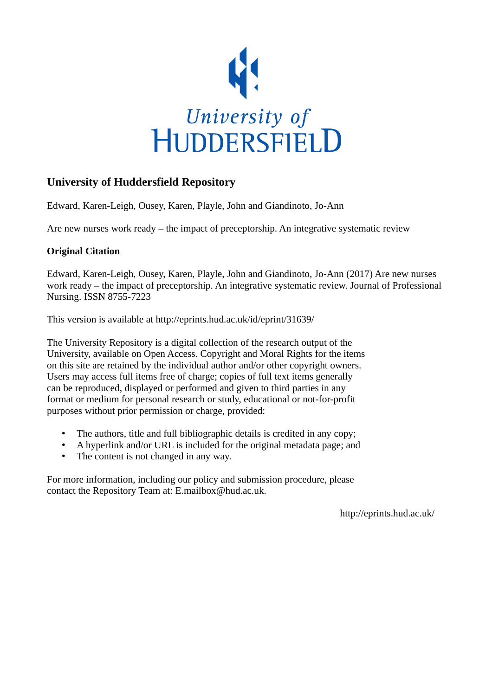

## **University of Huddersfield Repository**

Edward, Karen-Leigh, Ousey, Karen, Playle, John and Giandinoto, Jo-Ann

Are new nurses work ready – the impact of preceptorship. An integrative systematic review

## **Original Citation**

Edward, Karen-Leigh, Ousey, Karen, Playle, John and Giandinoto, Jo-Ann (2017) Are new nurses work ready – the impact of preceptorship. An integrative systematic review. Journal of Professional Nursing. ISSN 8755-7223

This version is available at http://eprints.hud.ac.uk/id/eprint/31639/

The University Repository is a digital collection of the research output of the University, available on Open Access. Copyright and Moral Rights for the items on this site are retained by the individual author and/or other copyright owners. Users may access full items free of charge; copies of full text items generally can be reproduced, displayed or performed and given to third parties in any format or medium for personal research or study, educational or not-for-profit purposes without prior permission or charge, provided:

- The authors, title and full bibliographic details is credited in any copy;
- A hyperlink and/or URL is included for the original metadata page; and
- The content is not changed in any way.

For more information, including our policy and submission procedure, please contact the Repository Team at: E.mailbox@hud.ac.uk.

http://eprints.hud.ac.uk/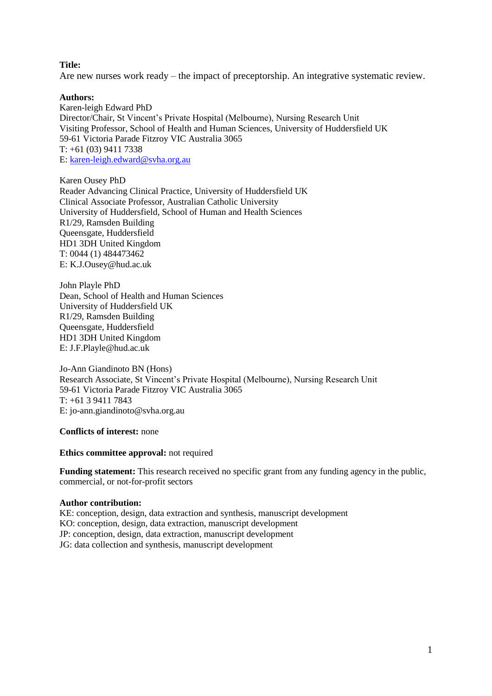## **Title:**

Are new nurses work ready – the impact of preceptorship. An integrative systematic review.

## **Authors:**

Karen-leigh Edward PhD Director/Chair, St Vincent's Private Hospital (Melbourne), Nursing Research Unit Visiting Professor, School of Health and Human Sciences, University of Huddersfield UK 59-61 Victoria Parade Fitzroy VIC Australia 3065 T: +61 (03) 9411 7338 E: [karen-leigh.edward@svha.org.au](mailto:karen-leigh.edward@svha.org.au)

Karen Ousey PhD Reader Advancing Clinical Practice, University of Huddersfield UK Clinical Associate Professor, Australian Catholic University University of Huddersfield, School of Human and Health Sciences R1/29, Ramsden Building Queensgate, Huddersfield HD1 3DH United Kingdom T: 0044 (1) 484473462 E: [K.J.Ousey@hud.ac.uk](mailto:K.J.Ousey@hud.ac.uk)

John Playle PhD Dean, School of Health and Human Sciences University of Huddersfield UK R1/29, Ramsden Building Queensgate, Huddersfield HD1 3DH United Kingdom E: J.F.Playle@hud.ac.uk

Jo-Ann Giandinoto BN (Hons) Research Associate, St Vincent's Private Hospital (Melbourne), Nursing Research Unit 59-61 Victoria Parade Fitzroy VIC Australia 3065 T: +61 3 9411 7843 E: jo-ann.giandinoto@svha.org.au

**Conflicts of interest:** none

**Ethics committee approval:** not required

**Funding statement:** This research received no specific grant from any funding agency in the public, commercial, or not-for-profit sectors

### **Author contribution:**

KE: conception, design, data extraction and synthesis, manuscript development KO: conception, design, data extraction, manuscript development JP: conception, design, data extraction, manuscript development JG: data collection and synthesis, manuscript development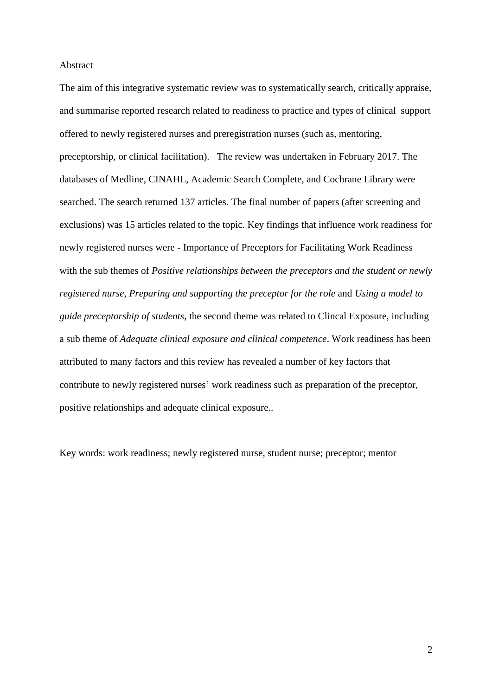#### Abstract

The aim of this integrative systematic review was to systematically search, critically appraise, and summarise reported research related to readiness to practice and types of clinical support offered to newly registered nurses and preregistration nurses (such as, mentoring, preceptorship, or clinical facilitation). The review was undertaken in February 2017. The databases of Medline, CINAHL, Academic Search Complete, and Cochrane Library were searched. The search returned 137 articles. The final number of papers (after screening and exclusions) was 15 articles related to the topic. Key findings that influence work readiness for newly registered nurses were - Importance of Preceptors for Facilitating Work Readiness with the sub themes of *Positive relationships between the preceptors and the student or newly registered nurse*, *Preparing and supporting the preceptor for the role* and *Using a model to guide preceptorship of students*, the second theme was related to Clincal Exposure, including a sub theme of *Adequate clinical exposure and clinical competence*. Work readiness has been attributed to many factors and this review has revealed a number of key factors that contribute to newly registered nurses' work readiness such as preparation of the preceptor, positive relationships and adequate clinical exposure..

Key words: work readiness; newly registered nurse, student nurse; preceptor; mentor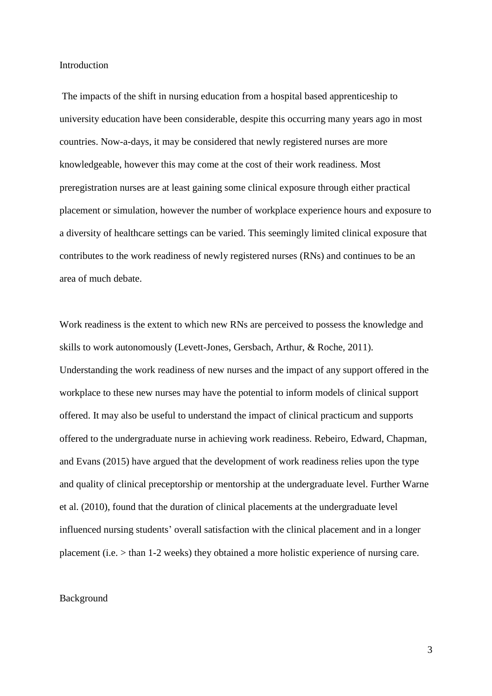#### Introduction

The impacts of the shift in nursing education from a hospital based apprenticeship to university education have been considerable, despite this occurring many years ago in most countries. Now-a-days, it may be considered that newly registered nurses are more knowledgeable, however this may come at the cost of their work readiness. Most preregistration nurses are at least gaining some clinical exposure through either practical placement or simulation, however the number of workplace experience hours and exposure to a diversity of healthcare settings can be varied. This seemingly limited clinical exposure that contributes to the work readiness of newly registered nurses (RNs) and continues to be an area of much debate.

Work readiness is the extent to which new RNs are perceived to possess the knowledge and skills to work autonomously (Levett-Jones, Gersbach, Arthur, & Roche, 2011). Understanding the work readiness of new nurses and the impact of any support offered in the workplace to these new nurses may have the potential to inform models of clinical support offered. It may also be useful to understand the impact of clinical practicum and supports offered to the undergraduate nurse in achieving work readiness. Rebeiro, Edward, Chapman, and Evans (2015) have argued that the development of work readiness relies upon the type and quality of clinical preceptorship or mentorship at the undergraduate level. Further Warne et al. (2010), found that the duration of clinical placements at the undergraduate level influenced nursing students' overall satisfaction with the clinical placement and in a longer placement (i.e. > than 1-2 weeks) they obtained a more holistic experience of nursing care.

### Background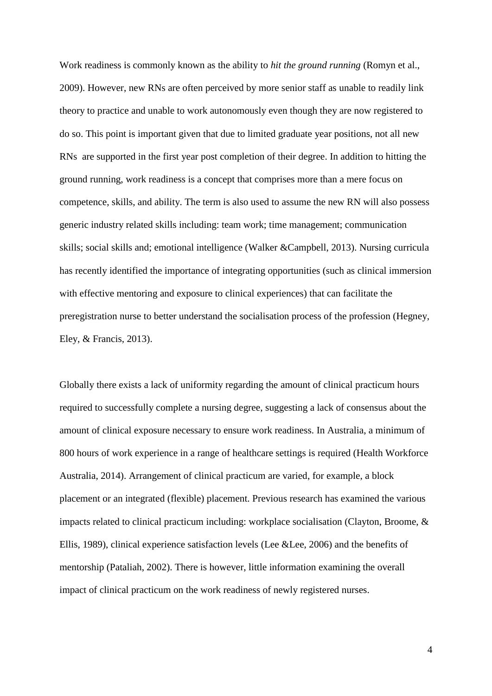Work readiness is commonly known as the ability to *hit the ground running* (Romyn et al., 2009). However, new RNs are often perceived by more senior staff as unable to readily link theory to practice and unable to work autonomously even though they are now registered to do so. This point is important given that due to limited graduate year positions, not all new RNs are supported in the first year post completion of their degree. In addition to hitting the ground running, work readiness is a concept that comprises more than a mere focus on competence, skills, and ability. The term is also used to assume the new RN will also possess generic industry related skills including: team work; time management; communication skills; social skills and; emotional intelligence (Walker &Campbell, 2013). Nursing curricula has recently identified the importance of integrating opportunities (such as clinical immersion with effective mentoring and exposure to clinical experiences) that can facilitate the preregistration nurse to better understand the socialisation process of the profession (Hegney, Eley, & Francis, 2013).

Globally there exists a lack of uniformity regarding the amount of clinical practicum hours required to successfully complete a nursing degree, suggesting a lack of consensus about the amount of clinical exposure necessary to ensure work readiness. In Australia, a minimum of 800 hours of work experience in a range of healthcare settings is required (Health Workforce Australia, 2014). Arrangement of clinical practicum are varied, for example, a block placement or an integrated (flexible) placement. Previous research has examined the various impacts related to clinical practicum including: workplace socialisation (Clayton, Broome, & Ellis, 1989), clinical experience satisfaction levels (Lee &Lee, 2006) and the benefits of mentorship (Pataliah, 2002). There is however, little information examining the overall impact of clinical practicum on the work readiness of newly registered nurses.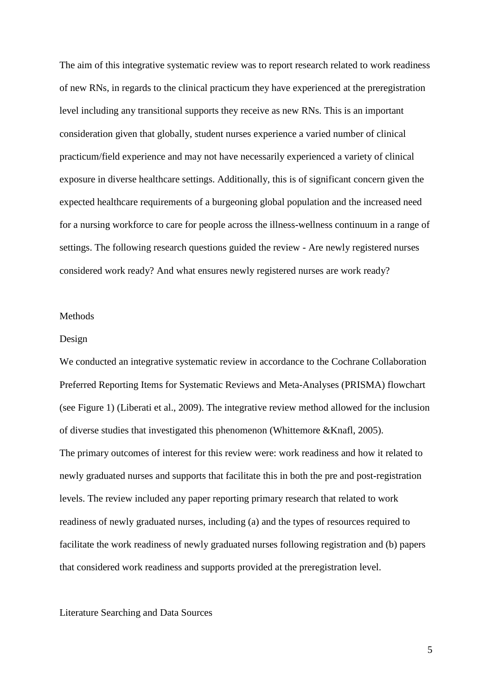The aim of this integrative systematic review was to report research related to work readiness of new RNs, in regards to the clinical practicum they have experienced at the preregistration level including any transitional supports they receive as new RNs. This is an important consideration given that globally, student nurses experience a varied number of clinical practicum/field experience and may not have necessarily experienced a variety of clinical exposure in diverse healthcare settings. Additionally, this is of significant concern given the expected healthcare requirements of a burgeoning global population and the increased need for a nursing workforce to care for people across the illness-wellness continuum in a range of settings. The following research questions guided the review - Are newly registered nurses considered work ready? And what ensures newly registered nurses are work ready?

#### Methods

#### Design

We conducted an integrative systematic review in accordance to the Cochrane Collaboration Preferred Reporting Items for Systematic Reviews and Meta-Analyses (PRISMA) flowchart (see Figure 1) (Liberati et al., 2009). The integrative review method allowed for the inclusion of diverse studies that investigated this phenomenon (Whittemore &Knafl, 2005). The primary outcomes of interest for this review were: work readiness and how it related to newly graduated nurses and supports that facilitate this in both the pre and post-registration levels. The review included any paper reporting primary research that related to work readiness of newly graduated nurses, including (a) and the types of resources required to facilitate the work readiness of newly graduated nurses following registration and (b) papers that considered work readiness and supports provided at the preregistration level.

### Literature Searching and Data Sources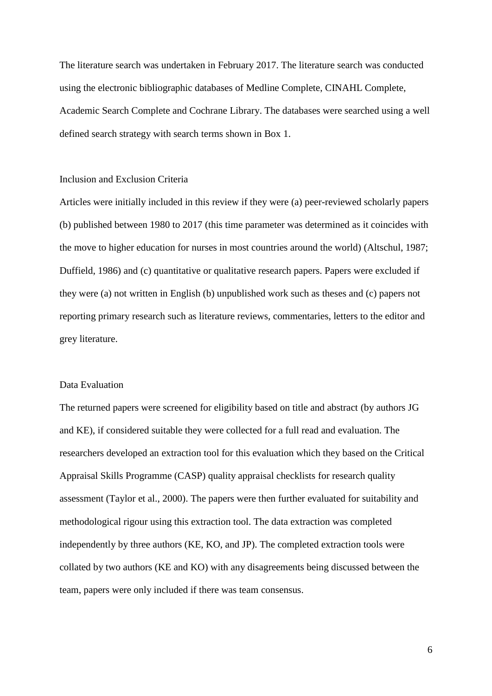The literature search was undertaken in February 2017. The literature search was conducted using the electronic bibliographic databases of Medline Complete, CINAHL Complete, Academic Search Complete and Cochrane Library. The databases were searched using a well defined search strategy with search terms shown in Box 1.

## Inclusion and Exclusion Criteria

Articles were initially included in this review if they were (a) peer-reviewed scholarly papers (b) published between 1980 to 2017 (this time parameter was determined as it coincides with the move to higher education for nurses in most countries around the world) (Altschul, 1987; Duffield, 1986) and (c) quantitative or qualitative research papers. Papers were excluded if they were (a) not written in English (b) unpublished work such as theses and (c) papers not reporting primary research such as literature reviews, commentaries, letters to the editor and grey literature.

## Data Evaluation

The returned papers were screened for eligibility based on title and abstract (by authors JG and KE), if considered suitable they were collected for a full read and evaluation. The researchers developed an extraction tool for this evaluation which they based on the Critical Appraisal Skills Programme (CASP) quality appraisal checklists for research quality assessment (Taylor et al., 2000). The papers were then further evaluated for suitability and methodological rigour using this extraction tool. The data extraction was completed independently by three authors (KE, KO, and JP). The completed extraction tools were collated by two authors (KE and KO) with any disagreements being discussed between the team, papers were only included if there was team consensus.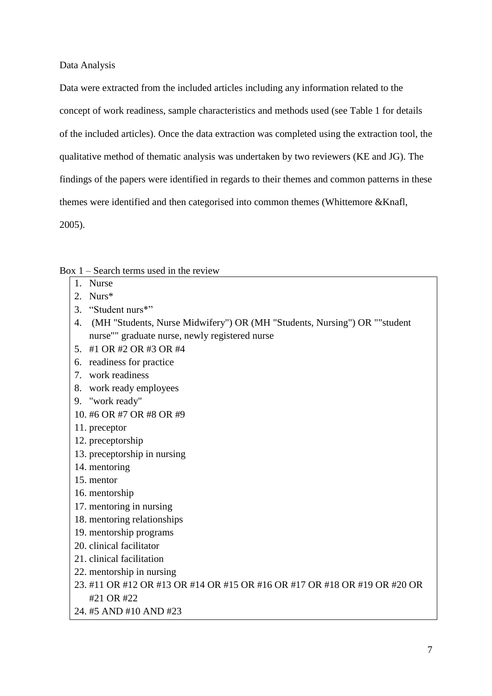Data Analysis

Data were extracted from the included articles including any information related to the concept of work readiness, sample characteristics and methods used (see Table 1 for details of the included articles). Once the data extraction was completed using the extraction tool, the qualitative method of thematic analysis was undertaken by two reviewers (KE and JG). The findings of the papers were identified in regards to their themes and common patterns in these themes were identified and then categorised into common themes (Whittemore &Knafl, 2005).

Box 1 – Search terms used in the review

- 1. Nurse
- 2. Nurs\*
- 3. "Student nurs\*"
- 4. (MH "Students, Nurse Midwifery") OR (MH "Students, Nursing") OR ""student nurse"" graduate nurse, newly registered nurse
- 5. #1 OR #2 OR #3 OR #4
- 6. readiness for practice
- 7. work readiness
- 8. work ready employees
- 9. "work ready"
- 10. #6 OR #7 OR #8 OR #9
- 11. preceptor
- 12. preceptorship
- 13. preceptorship in nursing
- 14. mentoring
- 15. mentor
- 16. mentorship
- 17. mentoring in nursing
- 18. mentoring relationships
- 19. mentorship programs
- 20. clinical facilitator
- 21. clinical facilitation
- 22. mentorship in nursing
- 23. #11 OR #12 OR #13 OR #14 OR #15 OR #16 OR #17 OR #18 OR #19 OR #20 OR #21 OR #22
- 24. #5 AND #10 AND #23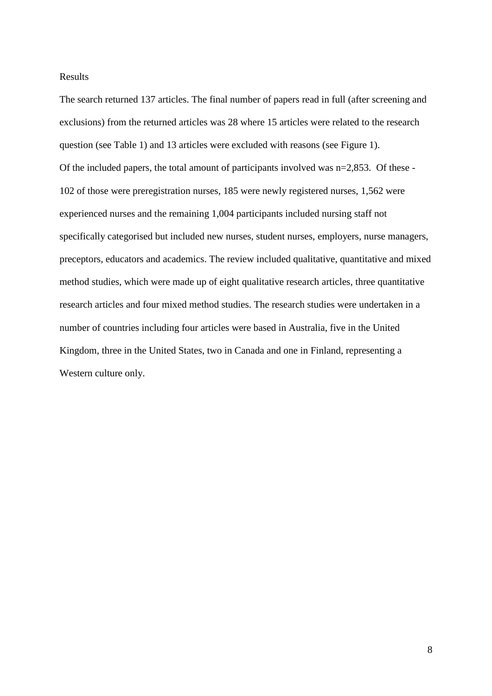## Results

The search returned 137 articles. The final number of papers read in full (after screening and exclusions) from the returned articles was 28 where 15 articles were related to the research question (see Table 1) and 13 articles were excluded with reasons (see Figure 1). Of the included papers, the total amount of participants involved was n=2,853. Of these - 102 of those were preregistration nurses, 185 were newly registered nurses, 1,562 were experienced nurses and the remaining 1,004 participants included nursing staff not specifically categorised but included new nurses, student nurses, employers, nurse managers, preceptors, educators and academics. The review included qualitative, quantitative and mixed method studies, which were made up of eight qualitative research articles, three quantitative research articles and four mixed method studies. The research studies were undertaken in a number of countries including four articles were based in Australia, five in the United Kingdom, three in the United States, two in Canada and one in Finland, representing a Western culture only.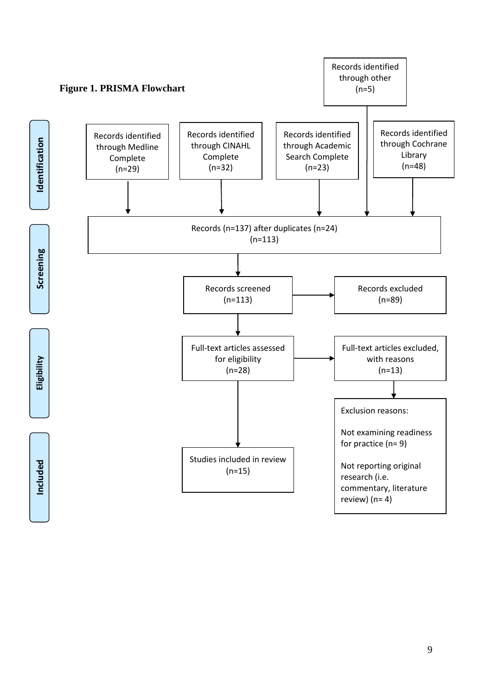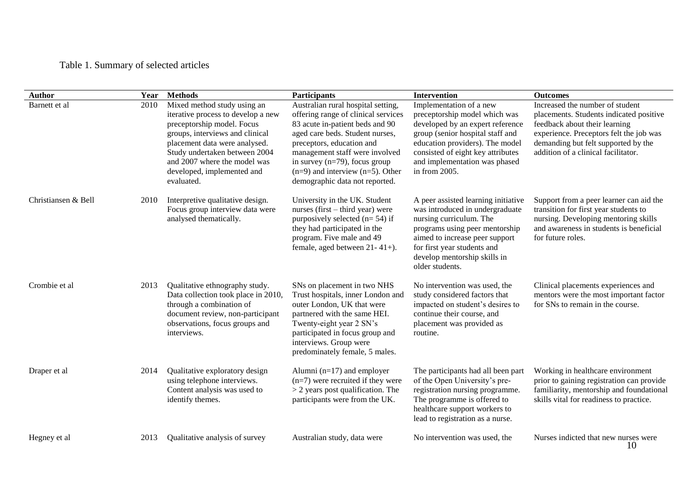# Table 1. Summary of selected articles

| <b>Author</b>       | Year | <b>Methods</b>                                                                                                                                                                                                                                                                   | <b>Participants</b>                                                                                                                                                                                                                                                                                                           | Intervention                                                                                                                                                                                                                                               | <b>Outcomes</b>                                                                                                                                                                                                                      |
|---------------------|------|----------------------------------------------------------------------------------------------------------------------------------------------------------------------------------------------------------------------------------------------------------------------------------|-------------------------------------------------------------------------------------------------------------------------------------------------------------------------------------------------------------------------------------------------------------------------------------------------------------------------------|------------------------------------------------------------------------------------------------------------------------------------------------------------------------------------------------------------------------------------------------------------|--------------------------------------------------------------------------------------------------------------------------------------------------------------------------------------------------------------------------------------|
| Barnett et al       | 2010 | Mixed method study using an<br>iterative process to develop a new<br>preceptorship model. Focus<br>groups, interviews and clinical<br>placement data were analysed.<br>Study undertaken between 2004<br>and 2007 where the model was<br>developed, implemented and<br>evaluated. | Australian rural hospital setting,<br>offering range of clinical services<br>83 acute in-patient beds and 90<br>aged care beds. Student nurses,<br>preceptors, education and<br>management staff were involved<br>in survey $(n=79)$ , focus group<br>$(n=9)$ and interview $(n=5)$ . Other<br>demographic data not reported. | Implementation of a new<br>preceptorship model which was<br>developed by an expert reference<br>group (senior hospital staff and<br>education providers). The model<br>consisted of eight key attributes<br>and implementation was phased<br>in from 2005. | Increased the number of student<br>placements. Students indicated positive<br>feedback about their learning<br>experience. Preceptors felt the job was<br>demanding but felt supported by the<br>addition of a clinical facilitator. |
| Christiansen & Bell | 2010 | Interpretive qualitative design.<br>Focus group interview data were<br>analysed thematically.                                                                                                                                                                                    | University in the UK. Student<br>nurses (first $-$ third year) were<br>purposively selected $(n=54)$ if<br>they had participated in the<br>program. Five male and 49<br>female, aged between $21 - 41 +$ ).                                                                                                                   | A peer assisted learning initiative<br>was introduced in undergraduate<br>nursing curriculum. The<br>programs using peer mentorship<br>aimed to increase peer support<br>for first year students and<br>develop mentorship skills in<br>older students.    | Support from a peer learner can aid the<br>transition for first year students to<br>nursing. Developing mentoring skills<br>and awareness in students is beneficial<br>for future roles.                                             |
| Crombie et al       | 2013 | Qualitative ethnography study.<br>Data collection took place in 2010,<br>through a combination of<br>document review, non-participant<br>observations, focus groups and<br>interviews.                                                                                           | SNs on placement in two NHS<br>Trust hospitals, inner London and<br>outer London, UK that were<br>partnered with the same HEI.<br>Twenty-eight year 2 SN's<br>participated in focus group and<br>interviews. Group were<br>predominately female, 5 males.                                                                     | No intervention was used, the<br>study considered factors that<br>impacted on student's desires to<br>continue their course, and<br>placement was provided as<br>routine.                                                                                  | Clinical placements experiences and<br>mentors were the most important factor<br>for SNs to remain in the course.                                                                                                                    |
| Draper et al        | 2014 | Qualitative exploratory design<br>using telephone interviews.<br>Content analysis was used to<br>identify themes.                                                                                                                                                                | Alumni ( $n=17$ ) and employer<br>$(n=7)$ were recruited if they were<br>$>$ 2 years post qualification. The<br>participants were from the UK.                                                                                                                                                                                | The participants had all been part<br>of the Open University's pre-<br>registration nursing programme.<br>The programme is offered to<br>healthcare support workers to<br>lead to registration as a nurse.                                                 | Working in healthcare environment<br>prior to gaining registration can provide<br>familiarity, mentorship and foundational<br>skills vital for readiness to practice.                                                                |
| Hegney et al        | 2013 | Qualitative analysis of survey                                                                                                                                                                                                                                                   | Australian study, data were                                                                                                                                                                                                                                                                                                   | No intervention was used, the                                                                                                                                                                                                                              | Nurses indicted that new nurses were<br>10                                                                                                                                                                                           |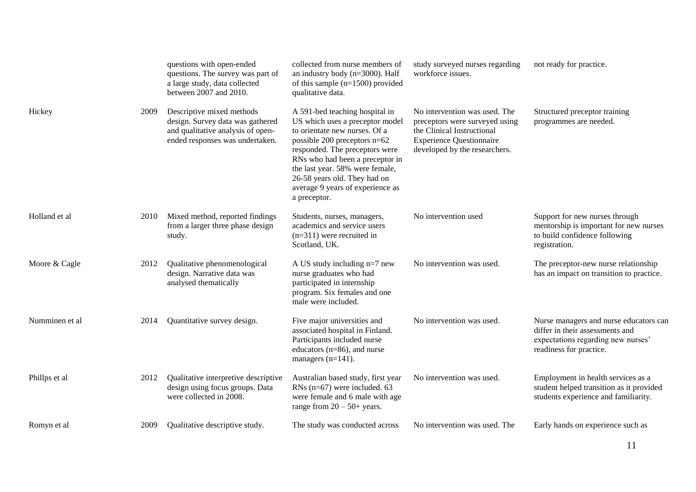|                |      | questions with open-ended<br>questions. The survey was part of<br>a large study, data collected<br>between 2007 and 2010.             | collected from nurse members of<br>an industry body ( $n=3000$ ). Half<br>of this sample $(n=1500)$ provided<br>qualitative data.                                                                                                                                                                                              | study surveyed nurses regarding<br>workforce issues.                                                                                                              | not ready for practice.                                                                                                                    |
|----------------|------|---------------------------------------------------------------------------------------------------------------------------------------|--------------------------------------------------------------------------------------------------------------------------------------------------------------------------------------------------------------------------------------------------------------------------------------------------------------------------------|-------------------------------------------------------------------------------------------------------------------------------------------------------------------|--------------------------------------------------------------------------------------------------------------------------------------------|
| Hickey         | 2009 | Descriptive mixed methods<br>design. Survey data was gathered<br>and qualitative analysis of open-<br>ended responses was undertaken. | A 591-bed teaching hospital in<br>US which uses a preceptor model<br>to orientate new nurses. Of a<br>possible 200 preceptors n=62<br>responded. The preceptors were<br>RNs who had been a preceptor in<br>the last year. 58% were female,<br>26-58 years old. They had on<br>average 9 years of experience as<br>a preceptor. | No intervention was used. The<br>preceptors were surveyed using<br>the Clinical Instructional<br><b>Experience Questionnaire</b><br>developed by the researchers. | Structured preceptor training<br>programmes are needed.                                                                                    |
| Holland et al  | 2010 | Mixed method, reported findings<br>from a larger three phase design<br>study.                                                         | Students, nurses, managers,<br>academics and service users<br>$(n=311)$ were recruited in<br>Scotland, UK.                                                                                                                                                                                                                     | No intervention used                                                                                                                                              | Support for new nurses through<br>mentorship is important for new nurses<br>to build confidence following<br>registration.                 |
| Moore & Cagle  | 2012 | Qualitative phenomenological<br>design. Narrative data was<br>analysed thematically                                                   | A US study including $n=7$ new<br>nurse graduates who had<br>participated in internship<br>program. Six females and one<br>male were included.                                                                                                                                                                                 | No intervention was used.                                                                                                                                         | The preceptor-new nurse relationship<br>has an impact on transition to practice.                                                           |
| Numminen et al | 2014 | Quantitative survey design.                                                                                                           | Five major universities and<br>associated hospital in Finland.<br>Participants included nurse<br>educators $(n=86)$ , and nurse<br>managers $(n=141)$ .                                                                                                                                                                        | No intervention was used.                                                                                                                                         | Nurse managers and nurse educators can<br>differ in their assessments and<br>expectations regarding new nurses'<br>readiness for practice. |
| Phillps et al  | 2012 | Qualitative interpretive descriptive<br>design using focus groups. Data<br>were collected in 2008.                                    | Australian based study, first year<br>RNs $(n=67)$ were included. 63<br>were female and 6 male with age<br>range from $20 - 50 + \text{years}$ .                                                                                                                                                                               | No intervention was used.                                                                                                                                         | Employment in health services as a<br>student helped transition as it provided<br>students experience and familiarity.                     |
| Romyn et al    | 2009 | Qualitative descriptive study.                                                                                                        | The study was conducted across                                                                                                                                                                                                                                                                                                 | No intervention was used. The                                                                                                                                     | Early hands on experience such as                                                                                                          |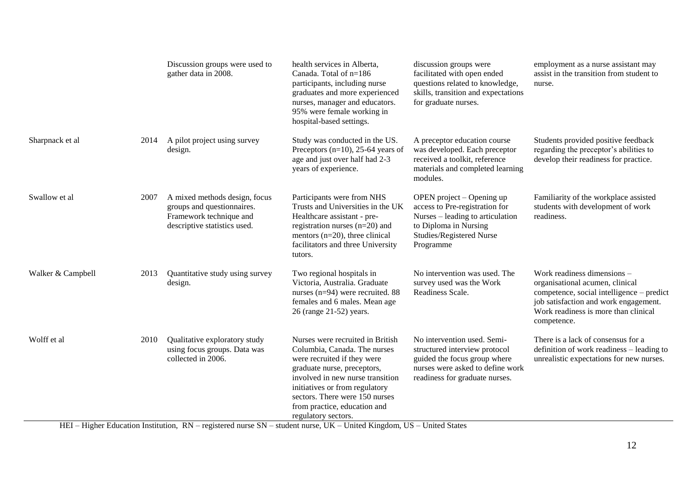|                   |      | Discussion groups were used to<br>gather data in 2008.                                                                 | health services in Alberta,<br>Canada. Total of n=186<br>participants, including nurse<br>graduates and more experienced<br>nurses, manager and educators.<br>95% were female working in<br>hospital-based settings.                                                                                                 | discussion groups were<br>facilitated with open ended<br>questions related to knowledge,<br>skills, transition and expectations<br>for graduate nurses.            | employment as a nurse assistant may<br>assist in the transition from student to<br>nurse.                                                                                                                   |
|-------------------|------|------------------------------------------------------------------------------------------------------------------------|----------------------------------------------------------------------------------------------------------------------------------------------------------------------------------------------------------------------------------------------------------------------------------------------------------------------|--------------------------------------------------------------------------------------------------------------------------------------------------------------------|-------------------------------------------------------------------------------------------------------------------------------------------------------------------------------------------------------------|
| Sharpnack et al   | 2014 | A pilot project using survey<br>design.                                                                                | Study was conducted in the US.<br>Preceptors ( $n=10$ ), 25-64 years of<br>age and just over half had 2-3<br>years of experience.                                                                                                                                                                                    | A preceptor education course<br>was developed. Each preceptor<br>received a toolkit, reference<br>materials and completed learning<br>modules.                     | Students provided positive feedback<br>regarding the preceptor's abilities to<br>develop their readiness for practice.                                                                                      |
| Swallow et al     | 2007 | A mixed methods design, focus<br>groups and questionnaires.<br>Framework technique and<br>descriptive statistics used. | Participants were from NHS<br>Trusts and Universities in the UK<br>Healthcare assistant - pre-<br>registration nurses $(n=20)$ and<br>mentors ( $n=20$ ), three clinical<br>facilitators and three University<br>tutors.                                                                                             | OPEN project – Opening up<br>access to Pre-registration for<br>Nurses – leading to articulation<br>to Diploma in Nursing<br>Studies/Registered Nurse<br>Programme  | Familiarity of the workplace assisted<br>students with development of work<br>readiness.                                                                                                                    |
| Walker & Campbell | 2013 | Quantitative study using survey<br>design.                                                                             | Two regional hospitals in<br>Victoria, Australia. Graduate<br>nurses (n=94) were recruited. 88<br>females and 6 males. Mean age<br>26 (range 21-52) years.                                                                                                                                                           | No intervention was used. The<br>survey used was the Work<br>Readiness Scale.                                                                                      | Work readiness dimensions -<br>organisational acumen, clinical<br>competence, social intelligence - predict<br>job satisfaction and work engagement.<br>Work readiness is more than clinical<br>competence. |
| Wolff et al       | 2010 | Qualitative exploratory study<br>using focus groups. Data was<br>collected in 2006.                                    | Nurses were recruited in British<br>Columbia, Canada. The nurses<br>were recruited if they were<br>graduate nurse, preceptors,<br>involved in new nurse transition<br>initiatives or from regulatory<br>sectors. There were 150 nurses<br>from practice, education and<br>regulatory sectors.<br>$\overline{\cdots}$ | No intervention used. Semi-<br>structured interview protocol<br>guided the focus group where<br>nurses were asked to define work<br>readiness for graduate nurses. | There is a lack of consensus for a<br>definition of work readiness - leading to<br>unrealistic expectations for new nurses.                                                                                 |

HEI – Higher Education Institution, RN – registered nurse SN – student nurse, UK – United Kingdom, US – United States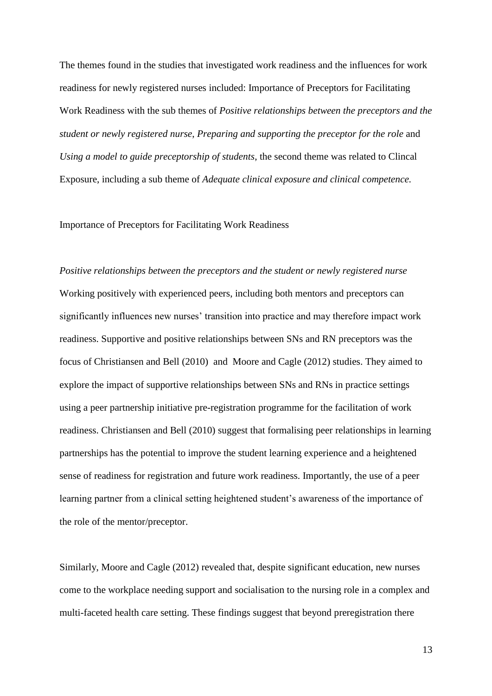The themes found in the studies that investigated work readiness and the influences for work readiness for newly registered nurses included: Importance of Preceptors for Facilitating Work Readiness with the sub themes of *Positive relationships between the preceptors and the student or newly registered nurse*, *Preparing and supporting the preceptor for the role* and *Using a model to guide preceptorship of students*, the second theme was related to Clincal Exposure, including a sub theme of *Adequate clinical exposure and clinical competence.*

#### Importance of Preceptors for Facilitating Work Readiness

*Positive relationships between the preceptors and the student or newly registered nurse* Working positively with experienced peers, including both mentors and preceptors can significantly influences new nurses' transition into practice and may therefore impact work readiness. Supportive and positive relationships between SNs and RN preceptors was the focus of Christiansen and Bell (2010) and Moore and Cagle (2012) studies. They aimed to explore the impact of supportive relationships between SNs and RNs in practice settings using a peer partnership initiative pre-registration programme for the facilitation of work readiness. Christiansen and Bell (2010) suggest that formalising peer relationships in learning partnerships has the potential to improve the student learning experience and a heightened sense of readiness for registration and future work readiness. Importantly, the use of a peer learning partner from a clinical setting heightened student's awareness of the importance of the role of the mentor/preceptor.

Similarly, Moore and Cagle (2012) revealed that, despite significant education, new nurses come to the workplace needing support and socialisation to the nursing role in a complex and multi-faceted health care setting. These findings suggest that beyond preregistration there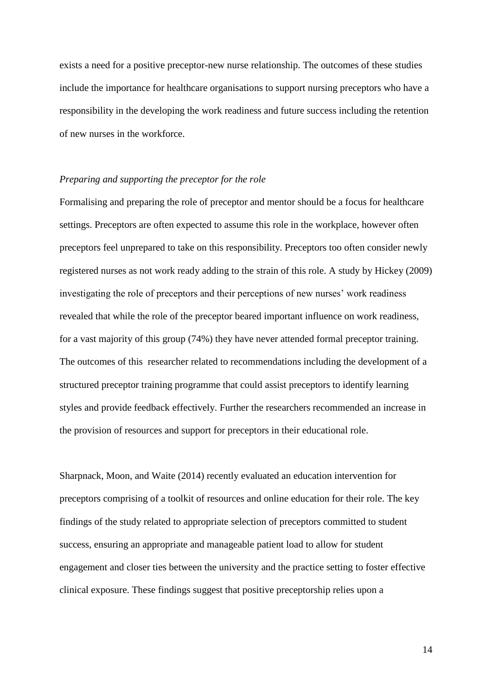exists a need for a positive preceptor-new nurse relationship. The outcomes of these studies include the importance for healthcare organisations to support nursing preceptors who have a responsibility in the developing the work readiness and future success including the retention of new nurses in the workforce.

## *Preparing and supporting the preceptor for the role*

Formalising and preparing the role of preceptor and mentor should be a focus for healthcare settings. Preceptors are often expected to assume this role in the workplace, however often preceptors feel unprepared to take on this responsibility. Preceptors too often consider newly registered nurses as not work ready adding to the strain of this role. A study by Hickey (2009) investigating the role of preceptors and their perceptions of new nurses' work readiness revealed that while the role of the preceptor beared important influence on work readiness, for a vast majority of this group (74%) they have never attended formal preceptor training. The outcomes of this researcher related to recommendations including the development of a structured preceptor training programme that could assist preceptors to identify learning styles and provide feedback effectively. Further the researchers recommended an increase in the provision of resources and support for preceptors in their educational role.

Sharpnack, Moon, and Waite (2014) recently evaluated an education intervention for preceptors comprising of a toolkit of resources and online education for their role. The key findings of the study related to appropriate selection of preceptors committed to student success, ensuring an appropriate and manageable patient load to allow for student engagement and closer ties between the university and the practice setting to foster effective clinical exposure. These findings suggest that positive preceptorship relies upon a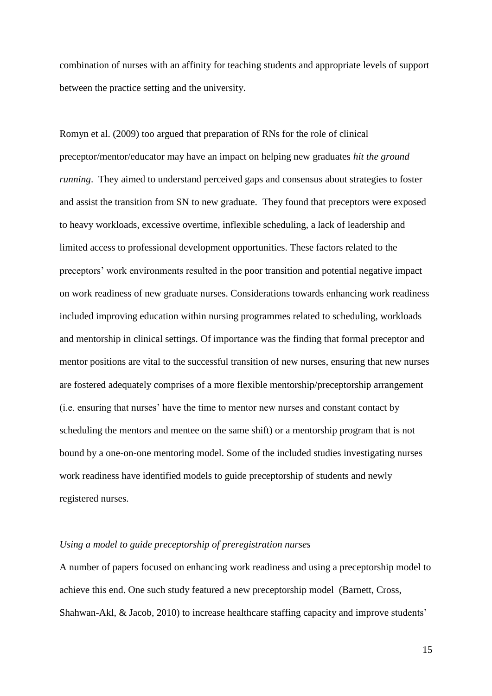combination of nurses with an affinity for teaching students and appropriate levels of support between the practice setting and the university.

Romyn et al. (2009) too argued that preparation of RNs for the role of clinical preceptor/mentor/educator may have an impact on helping new graduates *hit the ground running*. They aimed to understand perceived gaps and consensus about strategies to foster and assist the transition from SN to new graduate. They found that preceptors were exposed to heavy workloads, excessive overtime, inflexible scheduling, a lack of leadership and limited access to professional development opportunities. These factors related to the preceptors' work environments resulted in the poor transition and potential negative impact on work readiness of new graduate nurses. Considerations towards enhancing work readiness included improving education within nursing programmes related to scheduling, workloads and mentorship in clinical settings. Of importance was the finding that formal preceptor and mentor positions are vital to the successful transition of new nurses, ensuring that new nurses are fostered adequately comprises of a more flexible mentorship/preceptorship arrangement (i.e. ensuring that nurses' have the time to mentor new nurses and constant contact by scheduling the mentors and mentee on the same shift) or a mentorship program that is not bound by a one-on-one mentoring model. Some of the included studies investigating nurses work readiness have identified models to guide preceptorship of students and newly registered nurses.

## *Using a model to guide preceptorship of preregistration nurses*

A number of papers focused on enhancing work readiness and using a preceptorship model to achieve this end. One such study featured a new preceptorship model (Barnett, Cross, Shahwan-Akl, & Jacob, 2010) to increase healthcare staffing capacity and improve students'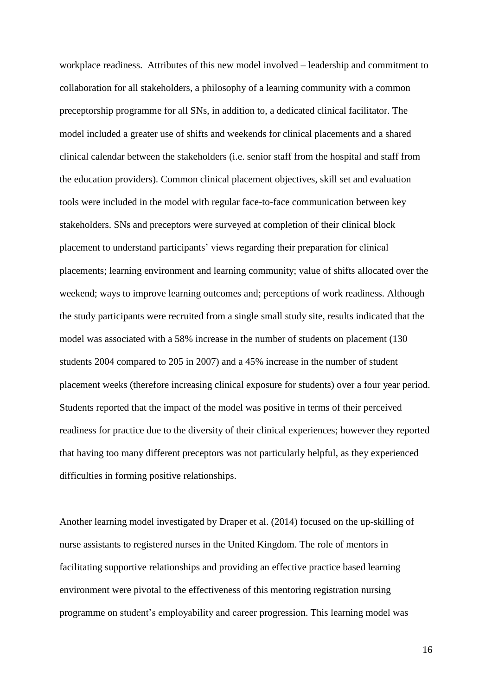workplace readiness. Attributes of this new model involved – leadership and commitment to collaboration for all stakeholders, a philosophy of a learning community with a common preceptorship programme for all SNs, in addition to, a dedicated clinical facilitator. The model included a greater use of shifts and weekends for clinical placements and a shared clinical calendar between the stakeholders (i.e. senior staff from the hospital and staff from the education providers). Common clinical placement objectives, skill set and evaluation tools were included in the model with regular face-to-face communication between key stakeholders. SNs and preceptors were surveyed at completion of their clinical block placement to understand participants' views regarding their preparation for clinical placements; learning environment and learning community; value of shifts allocated over the weekend; ways to improve learning outcomes and; perceptions of work readiness. Although the study participants were recruited from a single small study site, results indicated that the model was associated with a 58% increase in the number of students on placement (130 students 2004 compared to 205 in 2007) and a 45% increase in the number of student placement weeks (therefore increasing clinical exposure for students) over a four year period. Students reported that the impact of the model was positive in terms of their perceived readiness for practice due to the diversity of their clinical experiences; however they reported that having too many different preceptors was not particularly helpful, as they experienced difficulties in forming positive relationships.

Another learning model investigated by Draper et al. (2014) focused on the up-skilling of nurse assistants to registered nurses in the United Kingdom. The role of mentors in facilitating supportive relationships and providing an effective practice based learning environment were pivotal to the effectiveness of this mentoring registration nursing programme on student's employability and career progression. This learning model was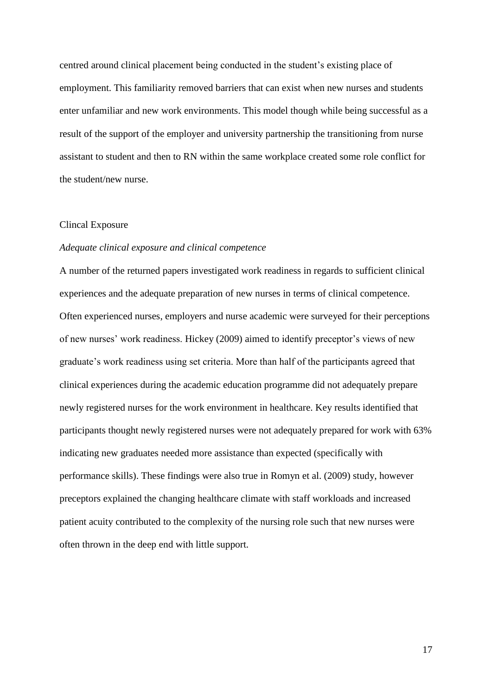centred around clinical placement being conducted in the student's existing place of employment. This familiarity removed barriers that can exist when new nurses and students enter unfamiliar and new work environments. This model though while being successful as a result of the support of the employer and university partnership the transitioning from nurse assistant to student and then to RN within the same workplace created some role conflict for the student/new nurse.

#### Clincal Exposure

## *Adequate clinical exposure and clinical competence*

A number of the returned papers investigated work readiness in regards to sufficient clinical experiences and the adequate preparation of new nurses in terms of clinical competence. Often experienced nurses, employers and nurse academic were surveyed for their perceptions of new nurses' work readiness. Hickey (2009) aimed to identify preceptor's views of new graduate's work readiness using set criteria. More than half of the participants agreed that clinical experiences during the academic education programme did not adequately prepare newly registered nurses for the work environment in healthcare. Key results identified that participants thought newly registered nurses were not adequately prepared for work with 63% indicating new graduates needed more assistance than expected (specifically with performance skills). These findings were also true in Romyn et al. (2009) study, however preceptors explained the changing healthcare climate with staff workloads and increased patient acuity contributed to the complexity of the nursing role such that new nurses were often thrown in the deep end with little support.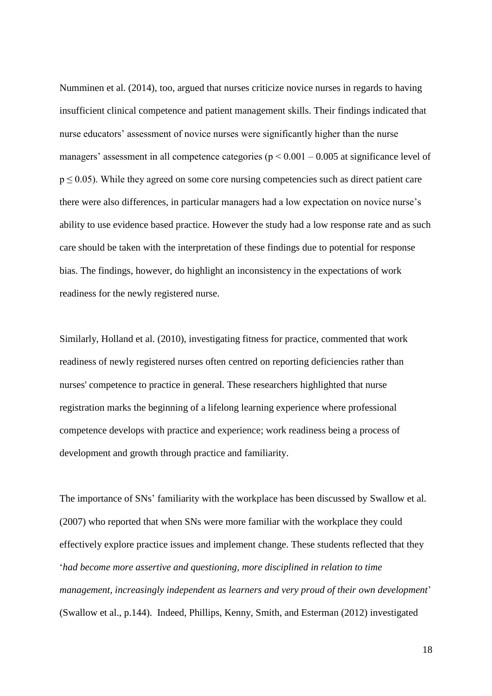Numminen et al. (2014), too, argued that nurses criticize novice nurses in regards to having insufficient clinical competence and patient management skills. Their findings indicated that nurse educators' assessment of novice nurses were significantly higher than the nurse managers' assessment in all competence categories ( $p < 0.001 - 0.005$  at significance level of  $p \le 0.05$ ). While they agreed on some core nursing competencies such as direct patient care there were also differences, in particular managers had a low expectation on novice nurse's ability to use evidence based practice. However the study had a low response rate and as such care should be taken with the interpretation of these findings due to potential for response bias. The findings, however, do highlight an inconsistency in the expectations of work readiness for the newly registered nurse.

Similarly, Holland et al. (2010), investigating fitness for practice, commented that work readiness of newly registered nurses often centred on reporting deficiencies rather than nurses' competence to practice in general. These researchers highlighted that nurse registration marks the beginning of a lifelong learning experience where professional competence develops with practice and experience; work readiness being a process of development and growth through practice and familiarity.

The importance of SNs' familiarity with the workplace has been discussed by Swallow et al. (2007) who reported that when SNs were more familiar with the workplace they could effectively explore practice issues and implement change. These students reflected that they '*had become more assertive and questioning, more disciplined in relation to time management, increasingly independent as learners and very proud of their own development*' (Swallow et al., p.144). Indeed, Phillips, Kenny, Smith, and Esterman (2012) investigated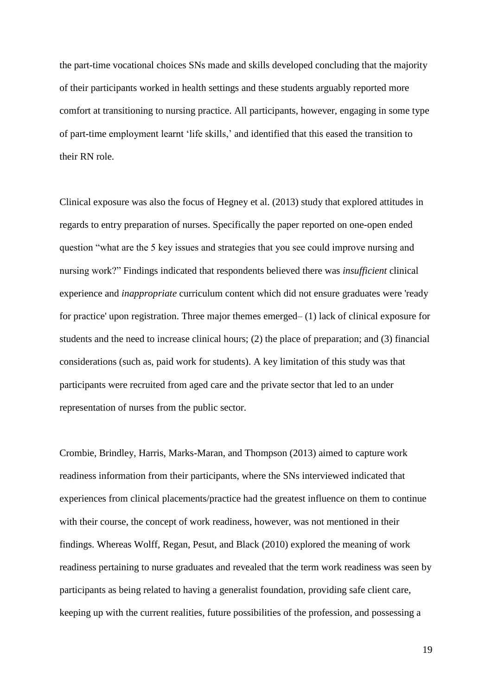the part-time vocational choices SNs made and skills developed concluding that the majority of their participants worked in health settings and these students arguably reported more comfort at transitioning to nursing practice. All participants, however, engaging in some type of part-time employment learnt 'life skills,' and identified that this eased the transition to their RN role.

Clinical exposure was also the focus of Hegney et al. (2013) study that explored attitudes in regards to entry preparation of nurses. Specifically the paper reported on one-open ended question "what are the 5 key issues and strategies that you see could improve nursing and nursing work?" Findings indicated that respondents believed there was *insufficient* clinical experience and *inappropriate* curriculum content which did not ensure graduates were 'ready for practice' upon registration. Three major themes emerged– (1) lack of clinical exposure for students and the need to increase clinical hours; (2) the place of preparation; and (3) financial considerations (such as, paid work for students). A key limitation of this study was that participants were recruited from aged care and the private sector that led to an under representation of nurses from the public sector.

Crombie, Brindley, Harris, Marks-Maran, and Thompson (2013) aimed to capture work readiness information from their participants, where the SNs interviewed indicated that experiences from clinical placements/practice had the greatest influence on them to continue with their course, the concept of work readiness, however, was not mentioned in their findings. Whereas Wolff, Regan, Pesut, and Black (2010) explored the meaning of work readiness pertaining to nurse graduates and revealed that the term work readiness was seen by participants as being related to having a generalist foundation, providing safe client care, keeping up with the current realities, future possibilities of the profession, and possessing a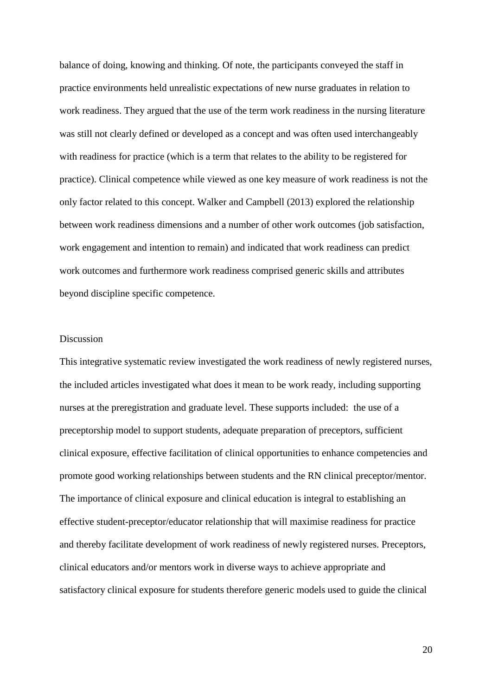balance of doing, knowing and thinking. Of note, the participants conveyed the staff in practice environments held unrealistic expectations of new nurse graduates in relation to work readiness. They argued that the use of the term work readiness in the nursing literature was still not clearly defined or developed as a concept and was often used interchangeably with readiness for practice (which is a term that relates to the ability to be registered for practice). Clinical competence while viewed as one key measure of work readiness is not the only factor related to this concept. Walker and Campbell (2013) explored the relationship between work readiness dimensions and a number of other work outcomes (job satisfaction, work engagement and intention to remain) and indicated that work readiness can predict work outcomes and furthermore work readiness comprised generic skills and attributes beyond discipline specific competence.

## Discussion

This integrative systematic review investigated the work readiness of newly registered nurses, the included articles investigated what does it mean to be work ready, including supporting nurses at the preregistration and graduate level. These supports included: the use of a preceptorship model to support students, adequate preparation of preceptors, sufficient clinical exposure, effective facilitation of clinical opportunities to enhance competencies and promote good working relationships between students and the RN clinical preceptor/mentor. The importance of clinical exposure and clinical education is integral to establishing an effective student-preceptor/educator relationship that will maximise readiness for practice and thereby facilitate development of work readiness of newly registered nurses. Preceptors, clinical educators and/or mentors work in diverse ways to achieve appropriate and satisfactory clinical exposure for students therefore generic models used to guide the clinical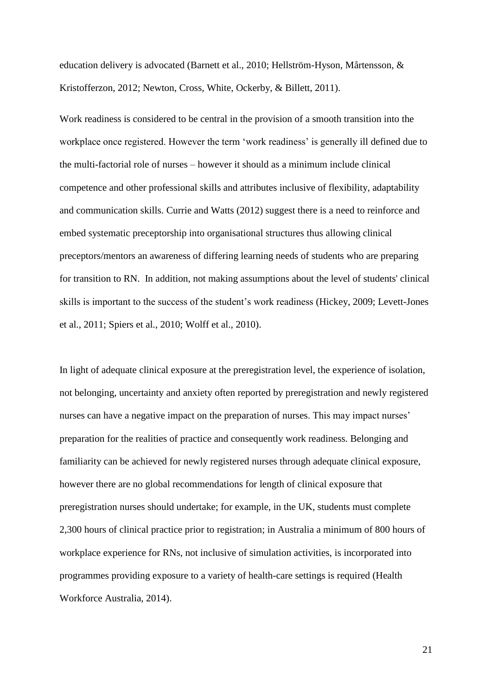education delivery is advocated (Barnett et al., 2010; Hellström-Hyson, Mårtensson, & Kristofferzon, 2012; Newton, Cross, White, Ockerby, & Billett, 2011).

Work readiness is considered to be central in the provision of a smooth transition into the workplace once registered. However the term 'work readiness' is generally ill defined due to the multi-factorial role of nurses – however it should as a minimum include clinical competence and other professional skills and attributes inclusive of flexibility, adaptability and communication skills. Currie and Watts (2012) suggest there is a need to reinforce and embed systematic preceptorship into organisational structures thus allowing clinical preceptors/mentors an awareness of differing learning needs of students who are preparing for transition to RN. In addition, not making assumptions about the level of students' clinical skills is important to the success of the student's work readiness (Hickey, 2009; Levett-Jones et al., 2011; Spiers et al., 2010; Wolff et al., 2010).

In light of adequate clinical exposure at the preregistration level, the experience of isolation, not belonging, uncertainty and anxiety often reported by preregistration and newly registered nurses can have a negative impact on the preparation of nurses. This may impact nurses' preparation for the realities of practice and consequently work readiness. Belonging and familiarity can be achieved for newly registered nurses through adequate clinical exposure, however there are no global recommendations for length of clinical exposure that preregistration nurses should undertake; for example, in the UK, students must complete 2,300 hours of clinical practice prior to registration; in Australia a minimum of 800 hours of workplace experience for RNs, not inclusive of simulation activities, is incorporated into programmes providing exposure to a variety of health-care settings is required (Health Workforce Australia, 2014).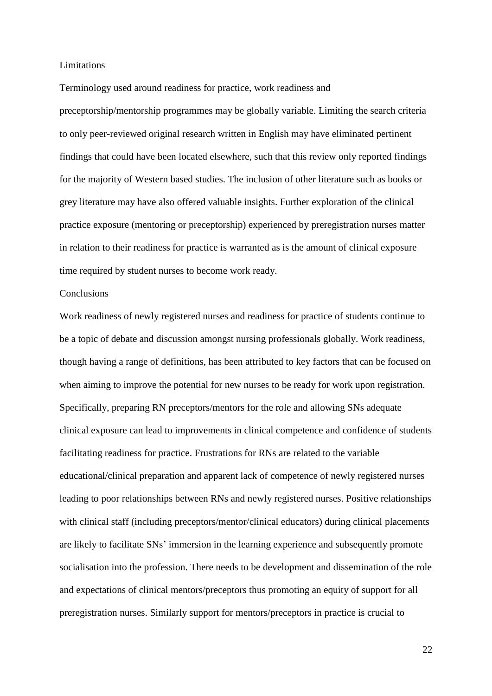#### Limitations

Terminology used around readiness for practice, work readiness and preceptorship/mentorship programmes may be globally variable. Limiting the search criteria to only peer-reviewed original research written in English may have eliminated pertinent findings that could have been located elsewhere, such that this review only reported findings for the majority of Western based studies. The inclusion of other literature such as books or grey literature may have also offered valuable insights. Further exploration of the clinical practice exposure (mentoring or preceptorship) experienced by preregistration nurses matter in relation to their readiness for practice is warranted as is the amount of clinical exposure time required by student nurses to become work ready.

## **Conclusions**

Work readiness of newly registered nurses and readiness for practice of students continue to be a topic of debate and discussion amongst nursing professionals globally. Work readiness, though having a range of definitions, has been attributed to key factors that can be focused on when aiming to improve the potential for new nurses to be ready for work upon registration. Specifically, preparing RN preceptors/mentors for the role and allowing SNs adequate clinical exposure can lead to improvements in clinical competence and confidence of students facilitating readiness for practice. Frustrations for RNs are related to the variable educational/clinical preparation and apparent lack of competence of newly registered nurses leading to poor relationships between RNs and newly registered nurses. Positive relationships with clinical staff (including preceptors/mentor/clinical educators) during clinical placements are likely to facilitate SNs' immersion in the learning experience and subsequently promote socialisation into the profession. There needs to be development and dissemination of the role and expectations of clinical mentors/preceptors thus promoting an equity of support for all preregistration nurses. Similarly support for mentors/preceptors in practice is crucial to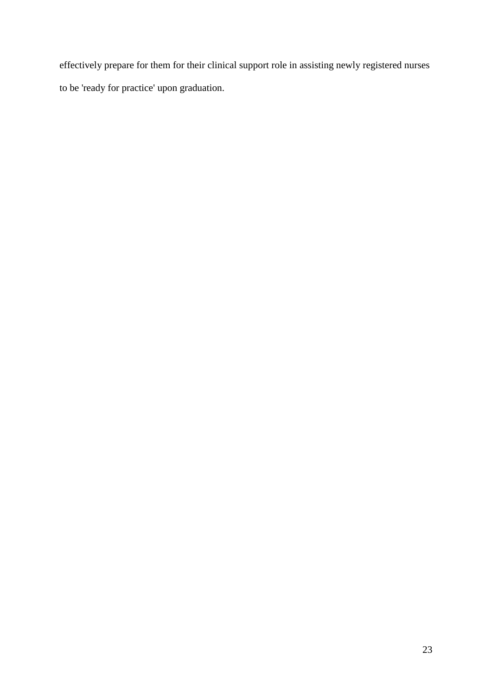effectively prepare for them for their clinical support role in assisting newly registered nurses to be 'ready for practice' upon graduation.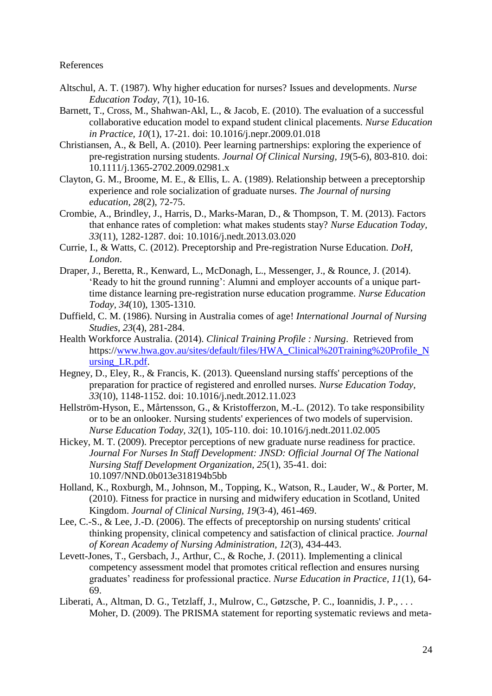References

- Altschul, A. T. (1987). Why higher education for nurses? Issues and developments. *Nurse Education Today, 7*(1), 10-16.
- Barnett, T., Cross, M., Shahwan-Akl, L., & Jacob, E. (2010). The evaluation of a successful collaborative education model to expand student clinical placements. *Nurse Education in Practice, 10*(1), 17-21. doi: 10.1016/j.nepr.2009.01.018
- Christiansen, A., & Bell, A. (2010). Peer learning partnerships: exploring the experience of pre-registration nursing students. *Journal Of Clinical Nursing, 19*(5-6), 803-810. doi: 10.1111/j.1365-2702.2009.02981.x
- Clayton, G. M., Broome, M. E., & Ellis, L. A. (1989). Relationship between a preceptorship experience and role socialization of graduate nurses. *The Journal of nursing education, 28*(2), 72-75.
- Crombie, A., Brindley, J., Harris, D., Marks-Maran, D., & Thompson, T. M. (2013). Factors that enhance rates of completion: what makes students stay? *Nurse Education Today, 33*(11), 1282-1287. doi: 10.1016/j.nedt.2013.03.020
- Currie, I., & Watts, C. (2012). Preceptorship and Pre-registration Nurse Education. *DoH, London*.
- Draper, J., Beretta, R., Kenward, L., McDonagh, L., Messenger, J., & Rounce, J. (2014). 'Ready to hit the ground running': Alumni and employer accounts of a unique parttime distance learning pre-registration nurse education programme. *Nurse Education Today, 34*(10), 1305-1310.
- Duffield, C. M. (1986). Nursing in Australia comes of age! *International Journal of Nursing Studies, 23*(4), 281-284.
- Health Workforce Australia. (2014). *Clinical Training Profile : Nursing*. Retrieved from https:/[/www.hwa.gov.au/sites/default/files/HWA\\_Clinical%20Training%20Profile\\_N](http://www.hwa.gov.au/sites/default/files/HWA_Clinical%20Training%20Profile_Nursing_LR.pdf) [ursing\\_LR.pdf.](http://www.hwa.gov.au/sites/default/files/HWA_Clinical%20Training%20Profile_Nursing_LR.pdf)
- Hegney, D., Eley, R., & Francis, K. (2013). Queensland nursing staffs' perceptions of the preparation for practice of registered and enrolled nurses. *Nurse Education Today, 33*(10), 1148-1152. doi: 10.1016/j.nedt.2012.11.023
- Hellström-Hyson, E., Mårtensson, G., & Kristofferzon, M.-L. (2012). To take responsibility or to be an onlooker. Nursing students' experiences of two models of supervision. *Nurse Education Today, 32*(1), 105-110. doi: 10.1016/j.nedt.2011.02.005
- Hickey, M. T. (2009). Preceptor perceptions of new graduate nurse readiness for practice. *Journal For Nurses In Staff Development: JNSD: Official Journal Of The National Nursing Staff Development Organization, 25*(1), 35-41. doi: 10.1097/NND.0b013e318194b5bb
- Holland, K., Roxburgh, M., Johnson, M., Topping, K., Watson, R., Lauder, W., & Porter, M. (2010). Fitness for practice in nursing and midwifery education in Scotland, United Kingdom. *Journal of Clinical Nursing, 19*(3‐4), 461-469.
- Lee, C.-S., & Lee, J.-D. (2006). The effects of preceptorship on nursing students' critical thinking propensity, clinical competency and satisfaction of clinical practice. *Journal of Korean Academy of Nursing Administration, 12*(3), 434-443.
- Levett-Jones, T., Gersbach, J., Arthur, C., & Roche, J. (2011). Implementing a clinical competency assessment model that promotes critical reflection and ensures nursing graduates' readiness for professional practice. *Nurse Education in Practice, 11*(1), 64- 69.
- Liberati, A., Altman, D. G., Tetzlaff, J., Mulrow, C., Gøtzsche, P. C., Ioannidis, J. P., ... Moher, D. (2009). The PRISMA statement for reporting systematic reviews and meta-